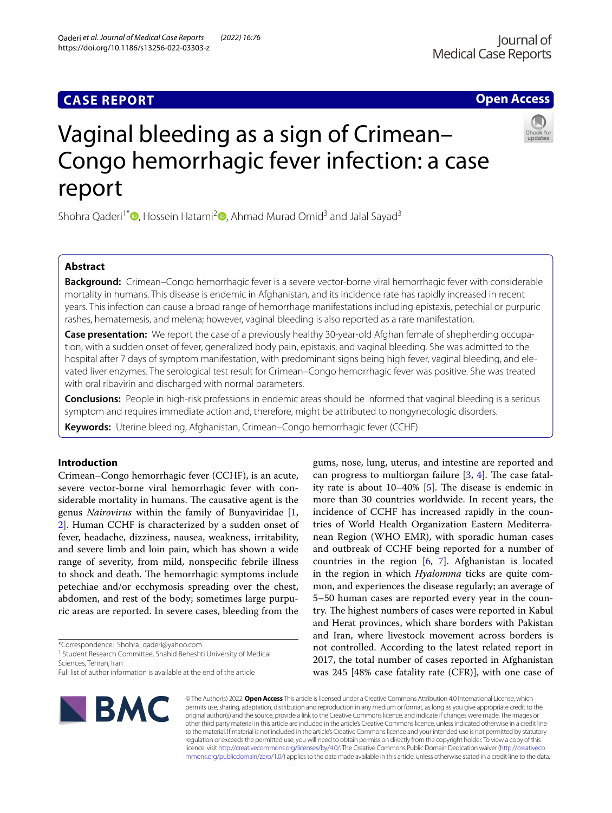# **CASE REPORT**

# Vaginal bleeding as a sign of Crimean– Congo hemorrhagic fever infection: a case report

Shohra Qaderi<sup>1\*</sup> [,](http://orcid.org/0000-0003-4427-5121) Hossein Hatami<sup>[2](http://orcid.org/0000-0002-1448-3598)</sup> , Ahmad Murad Omid<sup>3</sup> and Jalal Sayad<sup>3</sup>

# **Abstract**

**Background:** Crimean–Congo hemorrhagic fever is a severe vector-borne viral hemorrhagic fever with considerable mortality in humans. This disease is endemic in Afghanistan, and its incidence rate has rapidly increased in recent years. This infection can cause a broad range of hemorrhage manifestations including epistaxis, petechial or purpuric rashes, hematemesis, and melena; however, vaginal bleeding is also reported as a rare manifestation.

**Case presentation:** We report the case of a previously healthy 30-year-old Afghan female of shepherding occupation, with a sudden onset of fever, generalized body pain, epistaxis, and vaginal bleeding. She was admitted to the hospital after 7 days of symptom manifestation, with predominant signs being high fever, vaginal bleeding, and elevated liver enzymes. The serological test result for Crimean–Congo hemorrhagic fever was positive. She was treated with oral ribavirin and discharged with normal parameters.

**Conclusions:** People in high-risk professions in endemic areas should be informed that vaginal bleeding is a serious symptom and requires immediate action and, therefore, might be attributed to nongynecologic disorders.

**Keywords:** Uterine bleeding, Afghanistan, Crimean–Congo hemorrhagic fever (CCHF)

# **Introduction**

Crimean–Congo hemorrhagic fever (CCHF), is an acute, severe vector-borne viral hemorrhagic fever with considerable mortality in humans. The causative agent is the genus *Nairovirus* within the family of Bunyaviridae [\[1](#page-3-0), [2\]](#page-3-1). Human CCHF is characterized by a sudden onset of fever, headache, dizziness, nausea, weakness, irritability, and severe limb and loin pain, which has shown a wide range of severity, from mild, nonspecifc febrile illness to shock and death. The hemorrhagic symptoms include petechiae and/or ecchymosis spreading over the chest, abdomen, and rest of the body; sometimes large purpuric areas are reported. In severe cases, bleeding from the

\*Correspondence: Shohra\_qaderi@yahoo.com

**BMC** 

<sup>1</sup> Student Research Committee, Shahid Beheshti University of Medical Sciences, Tehran, Iran

© The Author(s) 2022. **Open Access** This article is licensed under a Creative Commons Attribution 4.0 International License, which permits use, sharing, adaptation, distribution and reproduction in any medium or format, as long as you give appropriate credit to the original author(s) and the source, provide a link to the Creative Commons licence, and indicate if changes were made. The images or other third party material in this article are included in the article's Creative Commons licence, unless indicated otherwise in a credit line to the material. If material is not included in the article's Creative Commons licence and your intended use is not permitted by statutory regulation or exceeds the permitted use, you will need to obtain permission directly from the copyright holder. To view a copy of this licence, visit [http://creativecommons.org/licenses/by/4.0/.](http://creativecommons.org/licenses/by/4.0/) The Creative Commons Public Domain Dedication waiver ([http://creativeco](http://creativecommons.org/publicdomain/zero/1.0/) [mmons.org/publicdomain/zero/1.0/](http://creativecommons.org/publicdomain/zero/1.0/)) applies to the data made available in this article, unless otherwise stated in a credit line to the data.







Full list of author information is available at the end of the article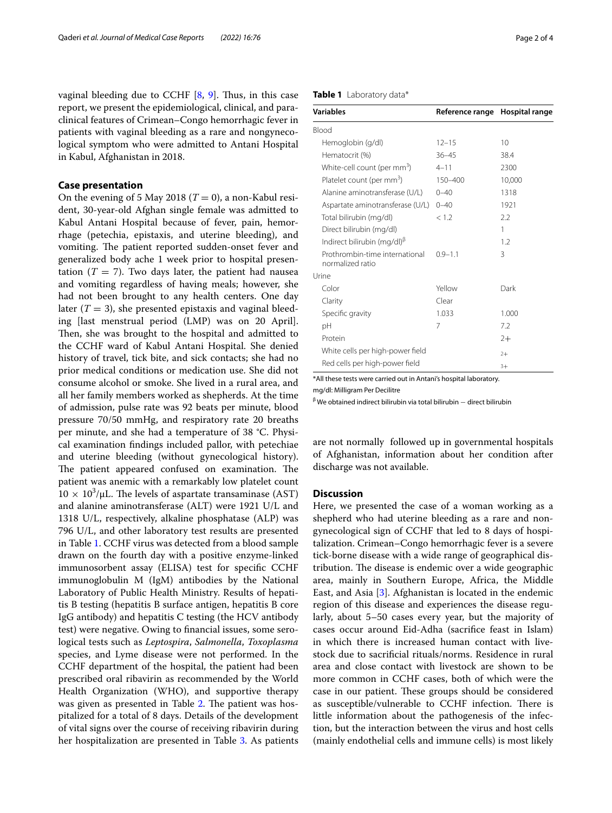vaginal bleeding due to CCHF  $[8, 9]$  $[8, 9]$  $[8, 9]$  $[8, 9]$ . Thus, in this case report, we present the epidemiological, clinical, and paraclinical features of Crimean–Congo hemorrhagic fever in patients with vaginal bleeding as a rare and nongynecological symptom who were admitted to Antani Hospital in Kabul, Afghanistan in 2018.

## **Case presentation**

On the evening of 5 May 2018 ( $T = 0$ ), a non-Kabul resident, 30-year-old Afghan single female was admitted to Kabul Antani Hospital because of fever, pain, hemorrhage (petechia, epistaxis, and uterine bleeding), and vomiting. The patient reported sudden-onset fever and generalized body ache 1 week prior to hospital presentation  $(T = 7)$ . Two days later, the patient had nausea and vomiting regardless of having meals; however, she had not been brought to any health centers. One day later  $(T = 3)$ , she presented epistaxis and vaginal bleeding [last menstrual period (LMP) was on 20 April]. Then, she was brought to the hospital and admitted to the CCHF ward of Kabul Antani Hospital. She denied history of travel, tick bite, and sick contacts; she had no prior medical conditions or medication use. She did not consume alcohol or smoke. She lived in a rural area, and all her family members worked as shepherds. At the time of admission, pulse rate was 92 beats per minute, blood pressure 70/50 mmHg, and respiratory rate 20 breaths per minute, and she had a temperature of 38 °C. Physical examination fndings included pallor, with petechiae and uterine bleeding (without gynecological history). The patient appeared confused on examination. The patient was anemic with a remarkably low platelet count  $10 \times 10^3/\mu L$ . The levels of aspartate transaminase (AST) and alanine aminotransferase (ALT) were 1921 U/L and 1318 U/L, respectively, alkaline phosphatase (ALP) was 796 U/L, and other laboratory test results are presented in Table [1](#page-1-0). CCHF virus was detected from a blood sample drawn on the fourth day with a positive enzyme-linked immunosorbent assay (ELISA) test for specifc CCHF immunoglobulin M (IgM) antibodies by the National Laboratory of Public Health Ministry. Results of hepatitis B testing (hepatitis B surface antigen, hepatitis B core IgG antibody) and hepatitis C testing (the HCV antibody test) were negative. Owing to fnancial issues, some serological tests such as *Leptospira*, *Salmonella*, *Toxoplasma* species, and Lyme disease were not performed. In the CCHF department of the hospital, the patient had been prescribed oral ribavirin as recommended by the World Health Organization (WHO), and supportive therapy was given as presented in Table [2.](#page-2-0) The patient was hospitalized for a total of 8 days. Details of the development of vital signs over the course of receiving ribavirin during her hospitalization are presented in Table [3](#page-2-1). As patients

#### <span id="page-1-0"></span>**Table 1** Laboratory data\*

| Variables                                                | Reference range | Hospital range |
|----------------------------------------------------------|-----------------|----------------|
| Blood                                                    |                 |                |
| Hemoglobin (g/dl)                                        | $12 - 15$       | 10             |
| Hematocrit (%)                                           | $36 - 45$       | 38.4           |
| White-cell count (per mm <sup>3</sup> )                  | $4 - 11$        | 2300           |
| Platelet count (per mm <sup>3</sup> )                    | 150-400         | 10,000         |
| Alanine aminotransferase (U/L)                           | $0 - 40$        | 1318           |
| Aspartate aminotransferase (U/L)                         | $0 - 40$        | 1921           |
| Total bilirubin (mg/dl)                                  | < 1.2           | 2.2            |
| Direct bilirubin (mg/dl)                                 |                 | 1              |
| Indirect bilirubin (mg/dl) <sup><math>\beta</math></sup> |                 | 1.2            |
| Prothrombin-time international<br>normalized ratio       | $0.9 - 1.1$     | 3              |
| Urine                                                    |                 |                |
| Color                                                    | Yellow          | Dark           |
| Clarity                                                  | Clear           |                |
| Specific gravity                                         | 1.033           | 1.000          |
| рH                                                       | 7               | 7.2            |
| Protein                                                  |                 | $2+$           |
| White cells per high-power field                         |                 | $2+$           |
| Red cells per high-power field                           |                 | $3+$           |

\*All these tests were carried out in Antani's hospital laboratory.

mg/dl: Milligram Per Decilitre

 $\beta$ We obtained indirect bilirubin via total bilirubin – direct bilirubin

are not normally followed up in governmental hospitals of Afghanistan, information about her condition after discharge was not available.

# **Discussion**

Here, we presented the case of a woman working as a shepherd who had uterine bleeding as a rare and nongynecological sign of CCHF that led to 8 days of hospitalization. Crimean–Congo hemorrhagic fever is a severe tick-borne disease with a wide range of geographical distribution. The disease is endemic over a wide geographic area, mainly in Southern Europe, Africa, the Middle East, and Asia [\[3](#page-3-2)]. Afghanistan is located in the endemic region of this disease and experiences the disease regularly, about 5–50 cases every year, but the majority of cases occur around Eid-Adha (sacrifce feast in Islam) in which there is increased human contact with livestock due to sacrifcial rituals/norms. Residence in rural area and close contact with livestock are shown to be more common in CCHF cases, both of which were the case in our patient. These groups should be considered as susceptible/vulnerable to CCHF infection. There is little information about the pathogenesis of the infection, but the interaction between the virus and host cells (mainly endothelial cells and immune cells) is most likely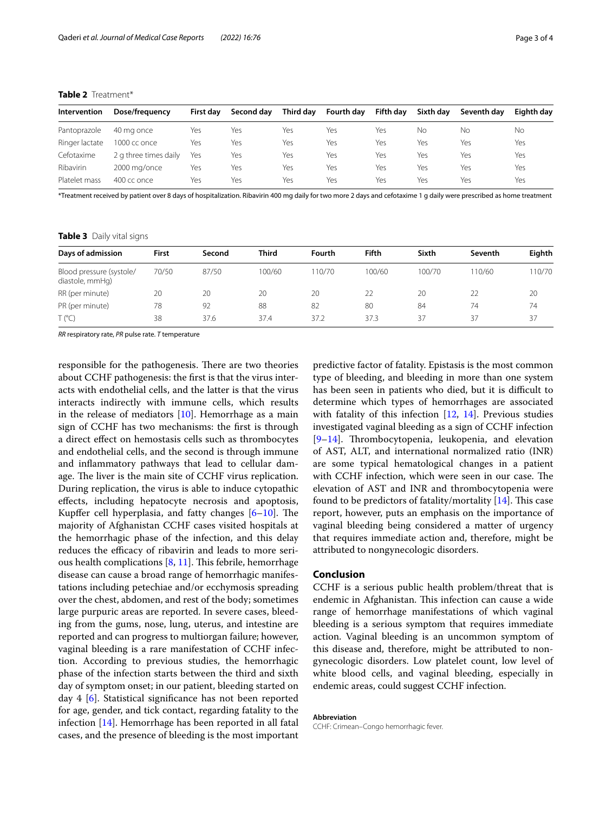<span id="page-2-0"></span>

| Intervention   | Dose/frequency        | First dav | Second dav | Third dav | <b>Fourth dav</b> | Fifth day | Sixth dav | Seventh dav | Eighth dav |
|----------------|-----------------------|-----------|------------|-----------|-------------------|-----------|-----------|-------------|------------|
| Pantoprazole   | 40 ma once            | Yes       | Yes        | Yes       | Yes               | Yes       | No        | Νo          | No         |
| Ringer lactate | 1000 cc once          | Yes       | Yes        | Yes       | Yes               | Yes       | Yes       | Yes         | Yes        |
| Cefotaxime     | 2 g three times daily | Yes       | Yes        | Yes       | Yes               | Yes       | Yes       | Yes         | Yes        |
| Ribavirin      | 2000 mg/once          | Yes       | Yes        | Yes       | Yes               | Yes       | Yes       | Yes         | Yes        |
| Platelet mass  | $400$ cc once         | Yes       | Yes        | Yes       | Yes               | Yes       | Yes       | Yes         | Yes        |

\*Treatment received by patient over 8 days of hospitalization. Ribavirin 400 mg daily for two more 2 days and cefotaxime 1 g daily were prescribed as home treatment

<span id="page-2-1"></span>**Table 3** Daily vital signs

| Days of admission                           | <b>First</b> | Second | Third  | Fourth | <b>Fifth</b> | Sixth  | Seventh | Eighth |
|---------------------------------------------|--------------|--------|--------|--------|--------------|--------|---------|--------|
| Blood pressure (systole/<br>diastole, mmHq) | 70/50        | 87/50  | 100/60 | 10/70  | 100/60       | 100/70 | 10/60   | 10/70  |
| RR (per minute)                             | 20           | 20     | 20     | 20     |              | 20     |         | 20     |
| PR (per minute)                             | 78           | 92     | 88     | 82     | 80           | 84     | 74      | 74     |
| $T (^{\circ}C)$                             | 38           | 37.6   | 37.4   | 37.2   | 37.3         | 37     | 37      | 37     |

*RR* respiratory rate, *PR* pulse rate. *T* temperature

responsible for the pathogenesis. There are two theories about CCHF pathogenesis: the frst is that the virus interacts with endothelial cells, and the latter is that the virus interacts indirectly with immune cells, which results in the release of mediators  $[10]$  $[10]$ . Hemorrhage as a main sign of CCHF has two mechanisms: the frst is through a direct efect on hemostasis cells such as thrombocytes and endothelial cells, and the second is through immune and infammatory pathways that lead to cellular damage. The liver is the main site of CCHF virus replication. During replication, the virus is able to induce cytopathic efects, including hepatocyte necrosis and apoptosis, Kupffer cell hyperplasia, and fatty changes  $[6-10]$  $[6-10]$ . The majority of Afghanistan CCHF cases visited hospitals at the hemorrhagic phase of the infection, and this delay reduces the efficacy of ribavirin and leads to more serious health complications  $[8, 11]$  $[8, 11]$  $[8, 11]$  $[8, 11]$ . This febrile, hemorrhage disease can cause a broad range of hemorrhagic manifestations including petechiae and/or ecchymosis spreading over the chest, abdomen, and rest of the body; sometimes large purpuric areas are reported. In severe cases, bleeding from the gums, nose, lung, uterus, and intestine are reported and can progress to multiorgan failure; however, vaginal bleeding is a rare manifestation of CCHF infection. According to previous studies, the hemorrhagic phase of the infection starts between the third and sixth day of symptom onset; in our patient, bleeding started on day 4 [[6](#page-3-5)]. Statistical signifcance has not been reported for age, gender, and tick contact, regarding fatality to the infection [\[14](#page-3-11)]. Hemorrhage has been reported in all fatal cases, and the presence of bleeding is the most important predictive factor of fatality. Epistasis is the most common type of bleeding, and bleeding in more than one system has been seen in patients who died, but it is difficult to determine which types of hemorrhages are associated with fatality of this infection [[12,](#page-3-12) [14\]](#page-3-11). Previous studies investigated vaginal bleeding as a sign of CCHF infection [[9–](#page-3-8)[14\]](#page-3-11). Thrombocytopenia, leukopenia, and elevation of AST, ALT, and international normalized ratio (INR) are some typical hematological changes in a patient with CCHF infection, which were seen in our case. The elevation of AST and INR and thrombocytopenia were found to be predictors of fatality/mortality  $[14]$  $[14]$ . This case report, however, puts an emphasis on the importance of vaginal bleeding being considered a matter of urgency that requires immediate action and, therefore, might be attributed to nongynecologic disorders.

# **Conclusion**

CCHF is a serious public health problem/threat that is endemic in Afghanistan. This infection can cause a wide range of hemorrhage manifestations of which vaginal bleeding is a serious symptom that requires immediate action. Vaginal bleeding is an uncommon symptom of this disease and, therefore, might be attributed to nongynecologic disorders. Low platelet count, low level of white blood cells, and vaginal bleeding, especially in endemic areas, could suggest CCHF infection.

**Abbreviation**

CCHF: Crimean–Congo hemorrhagic fever.